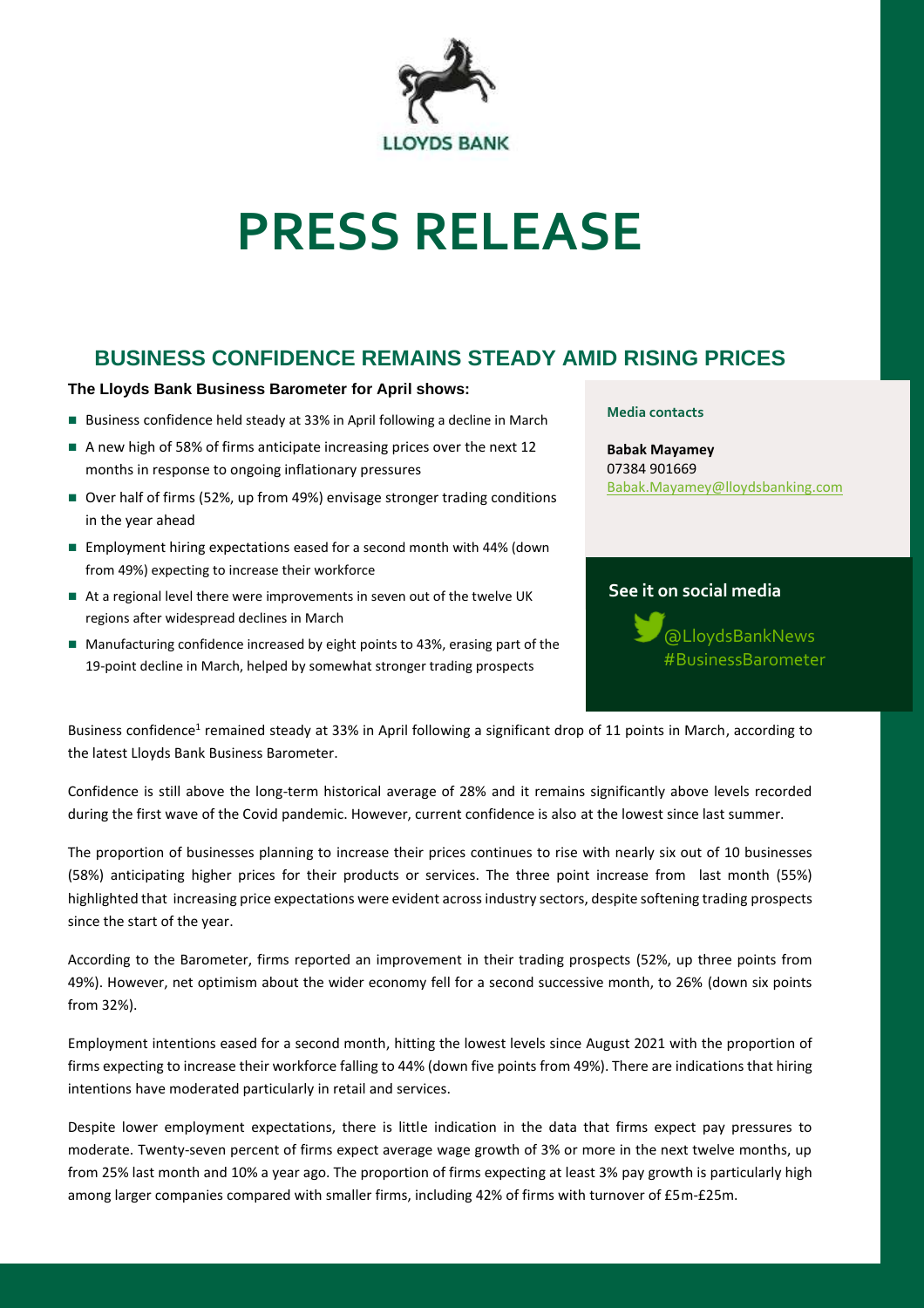

# **PRESS RELEASE**

# **BUSINESS CONFIDENCE REMAINS STEADY AMID RISING PRICES**

## **The Lloyds Bank Business Barometer for April shows:**

- Business confidence held steady at 33% in April following a decline in March
- A new high of 58% of firms anticipate increasing prices over the next 12 months in response to ongoing inflationary pressures
- Over half of firms (52%, up from 49%) envisage stronger trading conditions in the year ahead
- Employment hiring expectations eased for a second month with 44% (down from 49%) expecting to increase their workforce
- At a regional level there were improvements in seven out of the twelve UK regions after widespread declines in March
- Manufacturing confidence increased by eight points to 43%, erasing part of the 19-point decline in March, helped by somewhat stronger trading prospects

#### **Media contacts**

**Babak Mayamey**  07384 901669 [Babak.Mayamey@lloydsbanking.com](mailto:Babak.Mayamey@lloydsbanking.com)

# **See it on social media**



Business confidence<sup>1</sup> remained steady at 33% in April following a significant drop of 11 points in March, according to the latest Lloyds Bank Business Barometer.

Confidence is still above the long-term historical average of 28% and it remains significantly above levels recorded during the first wave of the Covid pandemic. However, current confidence is also at the lowest since last summer.

The proportion of businesses planning to increase their prices continues to rise with nearly six out of 10 businesses (58%) anticipating higher prices for their products or services. The three point increase from last month (55%) highlighted that increasing price expectations were evident across industry sectors, despite softening trading prospects since the start of the year.

According to the Barometer, firms reported an improvement in their trading prospects (52%, up three points from 49%). However, net optimism about the wider economy fell for a second successive month, to 26% (down six points from 32%).

Employment intentions eased for a second month, hitting the lowest levels since August 2021 with the proportion of firms expecting to increase their workforce falling to 44% (down five points from 49%). There are indications that hiring intentions have moderated particularly in retail and services.

Despite lower employment expectations, there is little indication in the data that firms expect pay pressures to moderate. Twenty-seven percent of firms expect average wage growth of 3% or more in the next twelve months, up from 25% last month and 10% a year ago. The proportion of firms expecting at least 3% pay growth is particularly high among larger companies compared with smaller firms, including 42% of firms with turnover of £5m-£25m.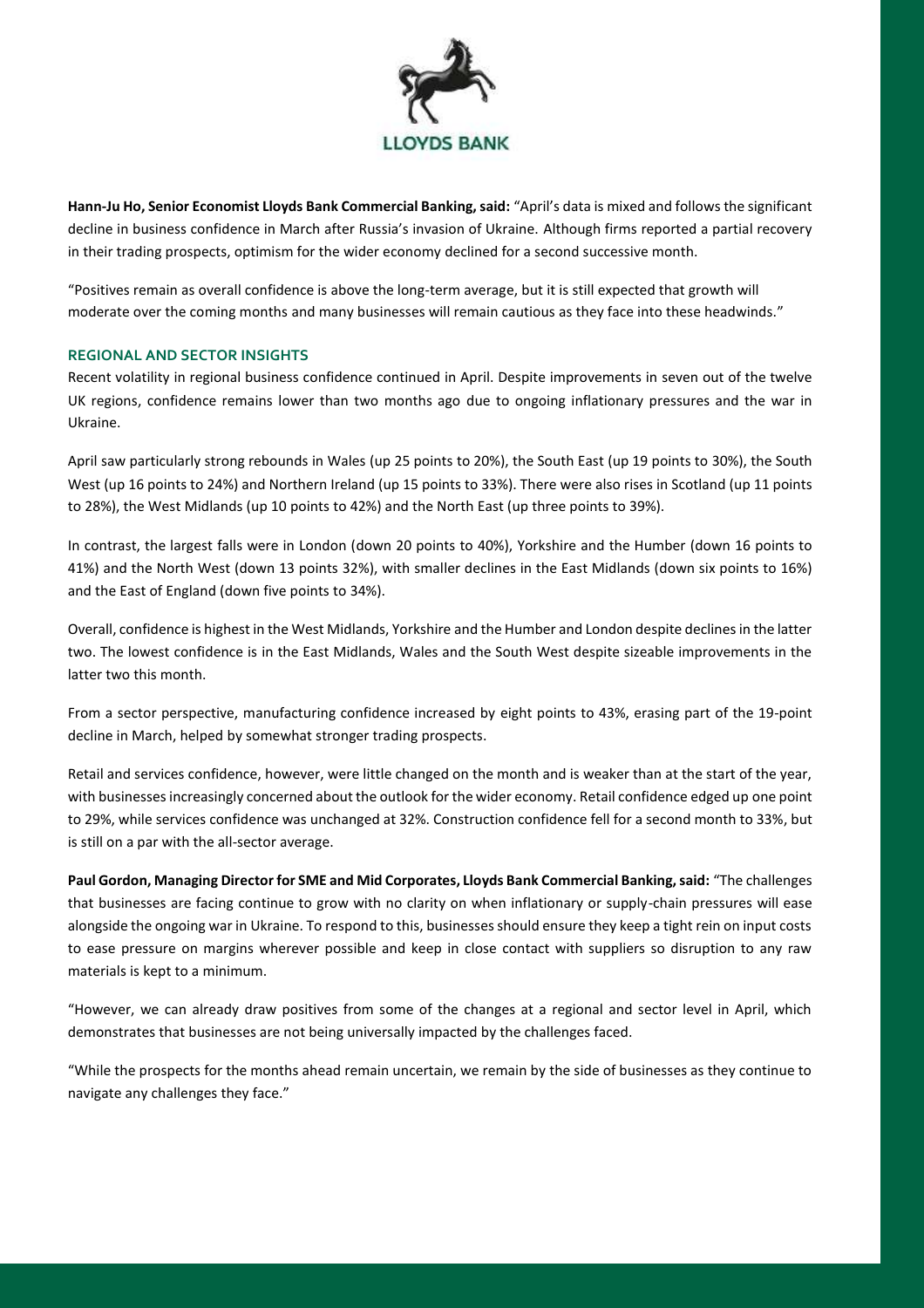

**Hann-Ju Ho, Senior Economist Lloyds Bank Commercial Banking, said:** "April's data is mixed and follows the significant decline in business confidence in March after Russia's invasion of Ukraine. Although firms reported a partial recovery in their trading prospects, optimism for the wider economy declined for a second successive month.

"Positives remain as overall confidence is above the long-term average, but it is still expected that growth will moderate over the coming months and many businesses will remain cautious as they face into these headwinds."

## **REGIONAL AND SECTOR INSIGHTS**

Recent volatility in regional business confidence continued in April. Despite improvements in seven out of the twelve UK regions, confidence remains lower than two months ago due to ongoing inflationary pressures and the war in Ukraine.

April saw particularly strong rebounds in Wales (up 25 points to 20%), the South East (up 19 points to 30%), the South West (up 16 points to 24%) and Northern Ireland (up 15 points to 33%). There were also rises in Scotland (up 11 points to 28%), the West Midlands (up 10 points to 42%) and the North East (up three points to 39%).

In contrast, the largest falls were in London (down 20 points to 40%), Yorkshire and the Humber (down 16 points to 41%) and the North West (down 13 points 32%), with smaller declines in the East Midlands (down six points to 16%) and the East of England (down five points to 34%).

Overall, confidence is highest in the West Midlands, Yorkshire and the Humber and London despite declines in the latter two. The lowest confidence is in the East Midlands, Wales and the South West despite sizeable improvements in the latter two this month.

From a sector perspective, manufacturing confidence increased by eight points to 43%, erasing part of the 19-point decline in March, helped by somewhat stronger trading prospects.

Retail and services confidence, however, were little changed on the month and is weaker than at the start of the year, with businesses increasingly concerned about the outlook for the wider economy. Retail confidence edged up one point to 29%, while services confidence was unchanged at 32%. Construction confidence fell for a second month to 33%, but is still on a par with the all-sector average.

**Paul Gordon, Managing Director for SME and Mid Corporates, Lloyds Bank Commercial Banking, said:** "The challenges that businesses are facing continue to grow with no clarity on when inflationary or supply-chain pressures will ease alongside the ongoing war in Ukraine. To respond to this, businesses should ensure they keep a tight rein on input costs to ease pressure on margins wherever possible and keep in close contact with suppliers so disruption to any raw materials is kept to a minimum.

"However, we can already draw positives from some of the changes at a regional and sector level in April, which demonstrates that businesses are not being universally impacted by the challenges faced.

"While the prospects for the months ahead remain uncertain, we remain by the side of businesses as they continue to navigate any challenges they face."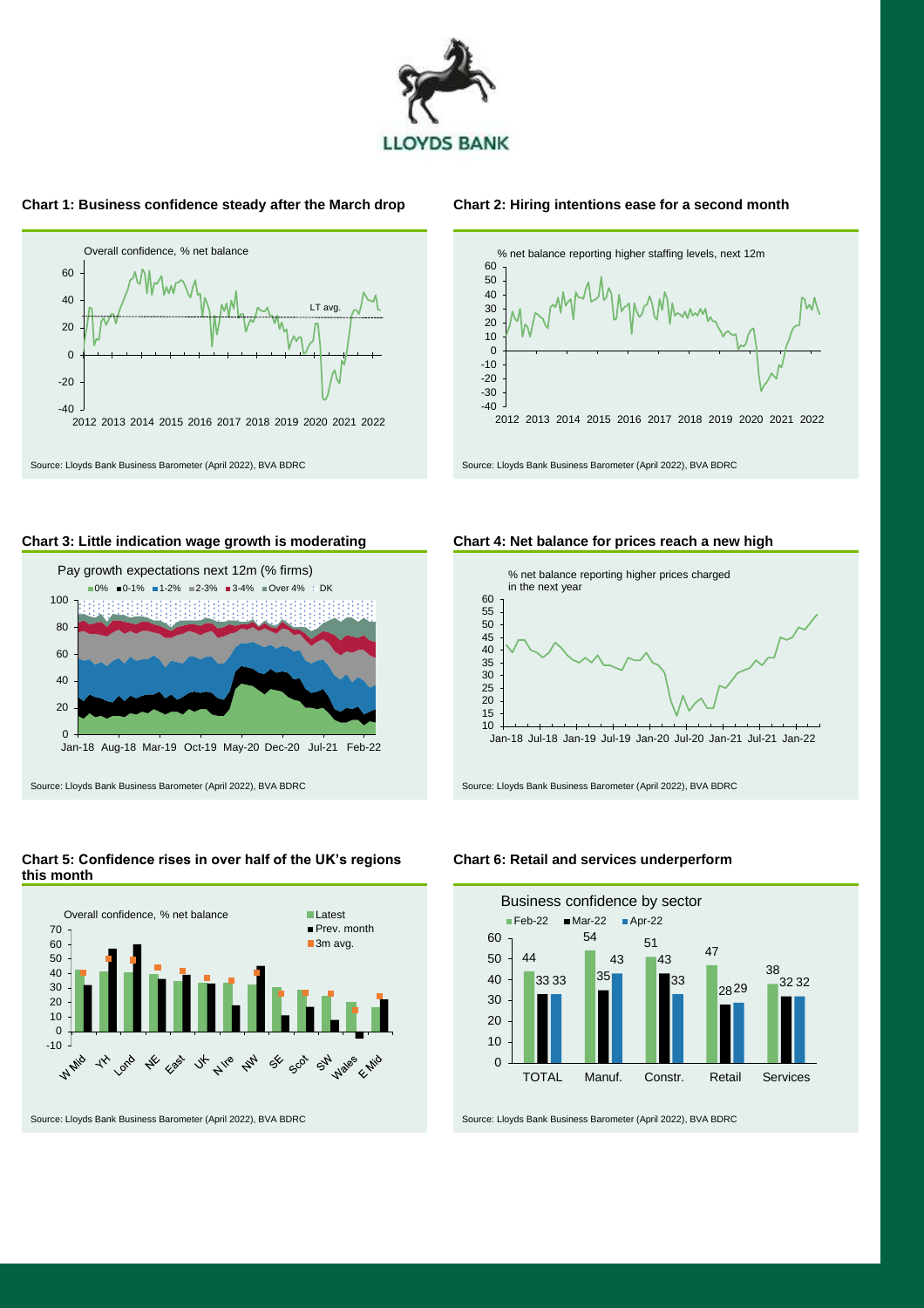

#### **Chart 1: Business confidence steady after the March drop Chart 2: Hiring intentions ease for a second month**





#### **Chart 3: Little indication wage growth is moderating Chart 4: Net balance for prices reach a new high**





#### **Chart 5: Confidence rises in over half of the UK's regions this month**



**Chart 6: Retail and services underperform**